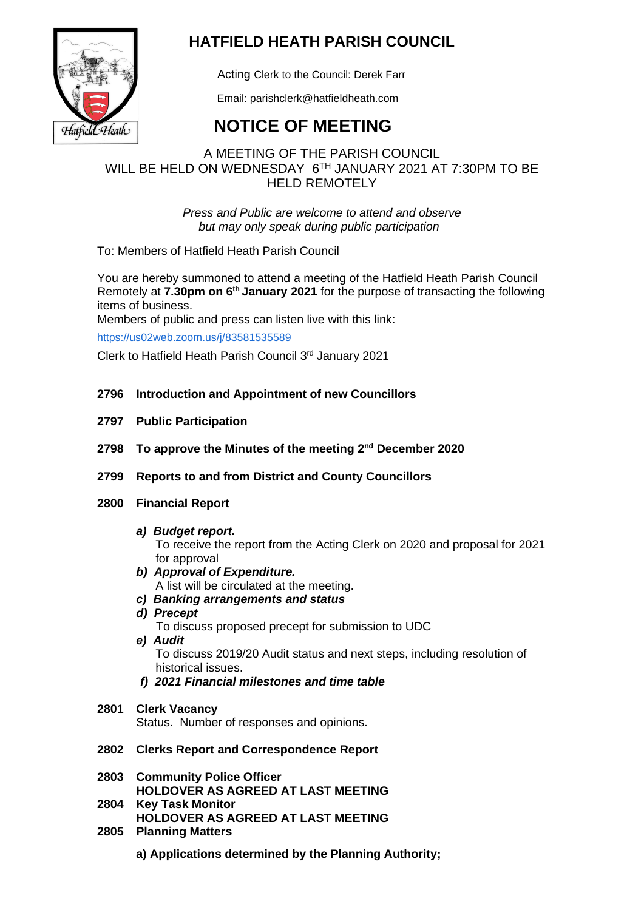

# **HATFIELD HEATH PARISH COUNCIL**

Acting Clerk to the Council: Derek Farr

Email: parishclerk@hatfieldheath.com

# **NOTICE OF MEETING**

## A MEETING OF THE PARISH COUNCIL WILL BE HELD ON WEDNESDAY 6TH JANUARY 2021 AT 7:30PM TO BE HELD REMOTELY

*Press and Public are welcome to attend and observe but may only speak during public participation*

To: Members of Hatfield Heath Parish Council

You are hereby summoned to attend a meeting of the Hatfield Heath Parish Council Remotely at **7.30pm on 6 th January 2021** for the purpose of transacting the following items of business.

Members of public and press can listen live with this link:

<https://us02web.zoom.us/j/83581535589>

Clerk to Hatfield Heath Parish Council 3rd January 2021

- **2796 Introduction and Appointment of new Councillors**
- **2797 Public Participation**
- **2798 To approve the Minutes of the meeting 2 nd December 2020**
- **2799 Reports to and from District and County Councillors**
- **2800 Financial Report**
	- *a) Budget report.*

To receive the report from the Acting Clerk on 2020 and proposal for 2021 for approval

- *b) Approval of Expenditure.*  A list will be circulated at the meeting.
- *c) Banking arrangements and status*
- *d) Precept*

To discuss proposed precept for submission to UDC

*e) Audit*

To discuss 2019/20 Audit status and next steps, including resolution of historical issues.

- *f) 2021 Financial milestones and time table*
- **2801 Clerk Vacancy** Status. Number of responses and opinions.
- **2802 Clerks Report and Correspondence Report**
- **2803 Community Police Officer HOLDOVER AS AGREED AT LAST MEETING**
- **2804 Key Task Monitor HOLDOVER AS AGREED AT LAST MEETING**
- **2805 Planning Matters**
	- **a) Applications determined by the Planning Authority;**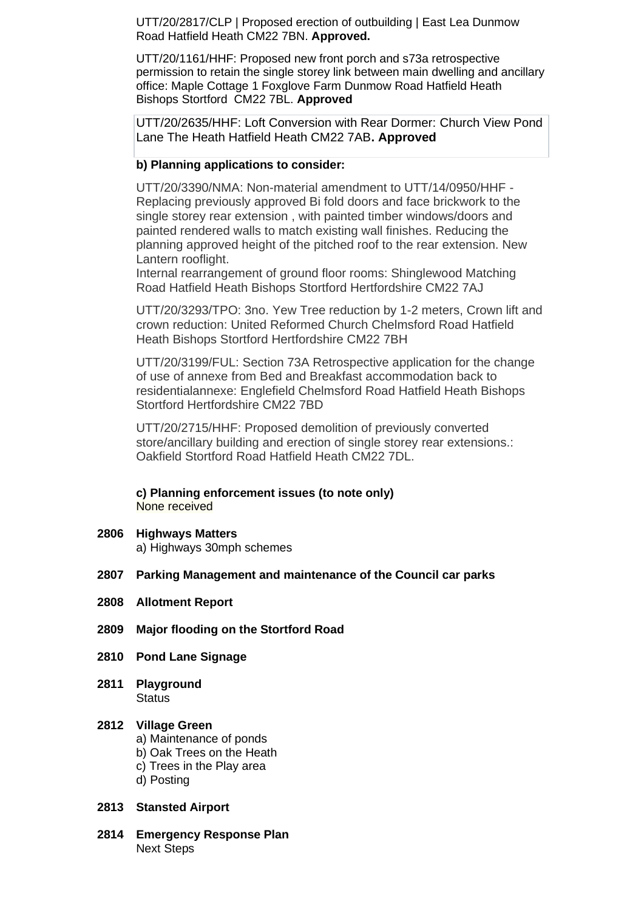UTT/20/2817/CLP | Proposed erection of outbuilding | East Lea Dunmow Road Hatfield Heath CM22 7BN. **Approved.**

UTT/20/1161/HHF: Proposed new front porch and s73a retrospective permission to retain the single storey link between main dwelling and ancillary office: Maple Cottage 1 Foxglove Farm Dunmow Road Hatfield Heath Bishops Stortford CM22 7BL. **Approved**

UTT/20/2635/HHF: Loft Conversion with Rear Dormer: Church View Pond Lane The Heath Hatfield Heath CM22 7AB**. Approved**

### **b) Planning applications to consider:**

UTT/20/3390/NMA: Non-material amendment to UTT/14/0950/HHF - Replacing previously approved Bi fold doors and face brickwork to the single storey rear extension , with painted timber windows/doors and painted rendered walls to match existing wall finishes. Reducing the planning approved height of the pitched roof to the rear extension. New Lantern rooflight.

Internal rearrangement of ground floor rooms: Shinglewood Matching Road Hatfield Heath Bishops Stortford Hertfordshire CM22 7AJ

UTT/20/3293/TPO: 3no. Yew Tree reduction by 1-2 meters, Crown lift and crown reduction: United Reformed Church Chelmsford Road Hatfield Heath Bishops Stortford Hertfordshire CM22 7BH

UTT/20/3199/FUL: Section 73A Retrospective application for the change of use of annexe from Bed and Breakfast accommodation back to residentialannexe: Englefield Chelmsford Road Hatfield Heath Bishops Stortford Hertfordshire CM22 7BD

UTT/20/2715/HHF: Proposed demolition of previously converted store/ancillary building and erection of single storey rear extensions.: Oakfield Stortford Road Hatfield Heath CM22 7DL.

**c) Planning enforcement issues (to note only)** None received

**2806 Highways Matters**

a) Highways 30mph schemes

- **2807 Parking Management and maintenance of the Council car parks**
- **2808 Allotment Report**
- **2809 Major flooding on the Stortford Road**
- **2810 Pond Lane Signage**
- **2811 Playground Status**

#### **2812 Village Green**

- a) Maintenance of ponds
- b) Oak Trees on the Heath
- c) Trees in the Play area
- d) Posting

#### **2813 Stansted Airport**

**2814 Emergency Response Plan** Next Steps